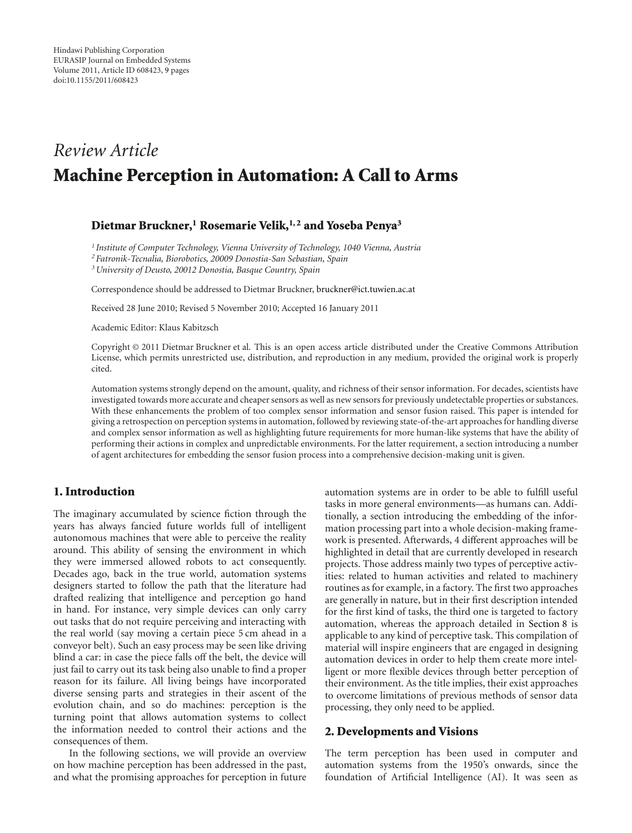# *Review Article* **Machine Perception in Automation: A Call to Arms**

# **Dietmar Bruckner,1 Rosemarie Velik,1, 2 and Yoseba Penya3**

*<sup>1</sup> Institute of Computer Technology, Vienna University of Technology, 1040 Vienna, Austria*

*<sup>2</sup> Fatronik-Tecnalia, Biorobotics, 20009 Donostia-San Sebastian, Spain*

*3University of Deusto, 20012 Donostia, Basque Country, Spain*

Correspondence should be addressed to Dietmar Bruckner, bruckner@ict.tuwien.ac.at

Received 28 June 2010; Revised 5 November 2010; Accepted 16 January 2011

Academic Editor: Klaus Kabitzsch

Copyright © 2011 Dietmar Bruckner et al. This is an open access article distributed under the Creative Commons Attribution License, which permits unrestricted use, distribution, and reproduction in any medium, provided the original work is properly cited.

Automation systems strongly depend on the amount, quality, and richness of their sensor information. For decades, scientists have investigated towards more accurate and cheaper sensors as well as new sensors for previously undetectable properties or substances. With these enhancements the problem of too complex sensor information and sensor fusion raised. This paper is intended for giving a retrospection on perception systems in automation, followed by reviewing state-of-the-art approaches for handling diverse and complex sensor information as well as highlighting future requirements for more human-like systems that have the ability of performing their actions in complex and unpredictable environments. For the latter requirement, a section introducing a number of agent architectures for embedding the sensor fusion process into a comprehensive decision-making unit is given.

## **1. Introduction**

The imaginary accumulated by science fiction through the years has always fancied future worlds full of intelligent autonomous machines that were able to perceive the reality around. This ability of sensing the environment in which they were immersed allowed robots to act consequently. Decades ago, back in the true world, automation systems designers started to follow the path that the literature had drafted realizing that intelligence and perception go hand in hand. For instance, very simple devices can only carry out tasks that do not require perceiving and interacting with the real world (say moving a certain piece 5 cm ahead in a conveyor belt). Such an easy process may be seen like driving blind a car: in case the piece falls off the belt, the device will just fail to carry out its task being also unable to find a proper reason for its failure. All living beings have incorporated diverse sensing parts and strategies in their ascent of the evolution chain, and so do machines: perception is the turning point that allows automation systems to collect the information needed to control their actions and the consequences of them.

In the following sections, we will provide an overview on how machine perception has been addressed in the past, and what the promising approaches for perception in future automation systems are in order to be able to fulfill useful tasks in more general environments—as humans can. Additionally, a section introducing the embedding of the information processing part into a whole decision-making framework is presented. Afterwards, 4 different approaches will be highlighted in detail that are currently developed in research projects. Those address mainly two types of perceptive activities: related to human activities and related to machinery routines as for example, in a factory. The first two approaches are generally in nature, but in their first description intended for the first kind of tasks, the third one is targeted to factory automation, whereas the approach detailed in Section 8 is applicable to any kind of perceptive task. This compilation of material will inspire engineers that are engaged in designing automation devices in order to help them create more intelligent or more flexible devices through better perception of their environment. As the title implies, their exist approaches to overcome limitations of previous methods of sensor data processing, they only need to be applied.

#### **2. Developments and Visions**

The term perception has been used in computer and automation systems from the 1950's onwards, since the foundation of Artificial Intelligence (AI). It was seen as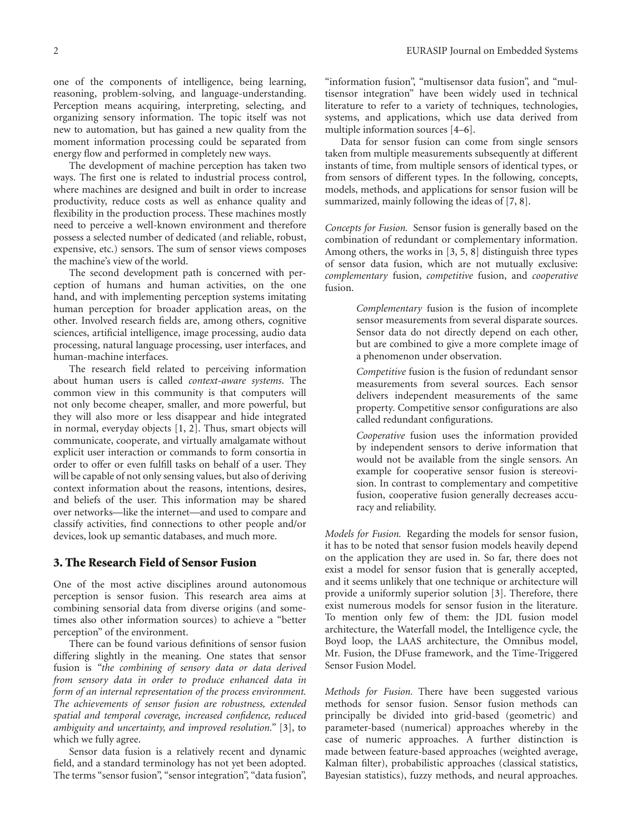one of the components of intelligence, being learning, reasoning, problem-solving, and language-understanding. Perception means acquiring, interpreting, selecting, and organizing sensory information. The topic itself was not new to automation, but has gained a new quality from the moment information processing could be separated from energy flow and performed in completely new ways.

The development of machine perception has taken two ways. The first one is related to industrial process control, where machines are designed and built in order to increase productivity, reduce costs as well as enhance quality and flexibility in the production process. These machines mostly need to perceive a well-known environment and therefore possess a selected number of dedicated (and reliable, robust, expensive, etc.) sensors. The sum of sensor views composes the machine's view of the world.

The second development path is concerned with perception of humans and human activities, on the one hand, and with implementing perception systems imitating human perception for broader application areas, on the other. Involved research fields are, among others, cognitive sciences, artificial intelligence, image processing, audio data processing, natural language processing, user interfaces, and human-machine interfaces.

The research field related to perceiving information about human users is called *context-aware systems*. The common view in this community is that computers will not only become cheaper, smaller, and more powerful, but they will also more or less disappear and hide integrated in normal, everyday objects [1, 2]. Thus, smart objects will communicate, cooperate, and virtually amalgamate without explicit user interaction or commands to form consortia in order to offer or even fulfill tasks on behalf of a user. They will be capable of not only sensing values, but also of deriving context information about the reasons, intentions, desires, and beliefs of the user. This information may be shared over networks—like the internet—and used to compare and classify activities, find connections to other people and/or devices, look up semantic databases, and much more.

## **3. The Research Field of Sensor Fusion**

One of the most active disciplines around autonomous perception is sensor fusion. This research area aims at combining sensorial data from diverse origins (and sometimes also other information sources) to achieve a "better perception" of the environment.

There can be found various definitions of sensor fusion differing slightly in the meaning. One states that sensor fusion is *"the combining of sensory data or data derived from sensory data in order to produce enhanced data in form of an internal representation of the process environment. The achievements of sensor fusion are robustness, extended spatial and temporal coverage, increased confidence, reduced ambiguity and uncertainty, and improved resolution."* [3], to which we fully agree.

Sensor data fusion is a relatively recent and dynamic field, and a standard terminology has not yet been adopted. The terms "sensor fusion", "sensor integration", "data fusion",

"information fusion", "multisensor data fusion", and "multisensor integration" have been widely used in technical literature to refer to a variety of techniques, technologies, systems, and applications, which use data derived from multiple information sources [4–6].

Data for sensor fusion can come from single sensors taken from multiple measurements subsequently at different instants of time, from multiple sensors of identical types, or from sensors of different types. In the following, concepts, models, methods, and applications for sensor fusion will be summarized, mainly following the ideas of [7, 8].

*Concepts for Fusion.* Sensor fusion is generally based on the combination of redundant or complementary information. Among others, the works in [3, 5, 8] distinguish three types of sensor data fusion, which are not mutually exclusive: *complementary* fusion, *competitive* fusion, and *cooperative* fusion.

> *Complementary* fusion is the fusion of incomplete sensor measurements from several disparate sources. Sensor data do not directly depend on each other, but are combined to give a more complete image of a phenomenon under observation.

> *Competitive* fusion is the fusion of redundant sensor measurements from several sources. Each sensor delivers independent measurements of the same property. Competitive sensor configurations are also called redundant configurations.

> *Cooperative* fusion uses the information provided by independent sensors to derive information that would not be available from the single sensors. An example for cooperative sensor fusion is stereovision. In contrast to complementary and competitive fusion, cooperative fusion generally decreases accuracy and reliability.

*Models for Fusion.* Regarding the models for sensor fusion, it has to be noted that sensor fusion models heavily depend on the application they are used in. So far, there does not exist a model for sensor fusion that is generally accepted, and it seems unlikely that one technique or architecture will provide a uniformly superior solution [3]. Therefore, there exist numerous models for sensor fusion in the literature. To mention only few of them: the JDL fusion model architecture, the Waterfall model, the Intelligence cycle, the Boyd loop, the LAAS architecture, the Omnibus model, Mr. Fusion, the DFuse framework, and the Time-Triggered Sensor Fusion Model.

*Methods for Fusion.* There have been suggested various methods for sensor fusion. Sensor fusion methods can principally be divided into grid-based (geometric) and parameter-based (numerical) approaches whereby in the case of numeric approaches. A further distinction is made between feature-based approaches (weighted average, Kalman filter), probabilistic approaches (classical statistics, Bayesian statistics), fuzzy methods, and neural approaches.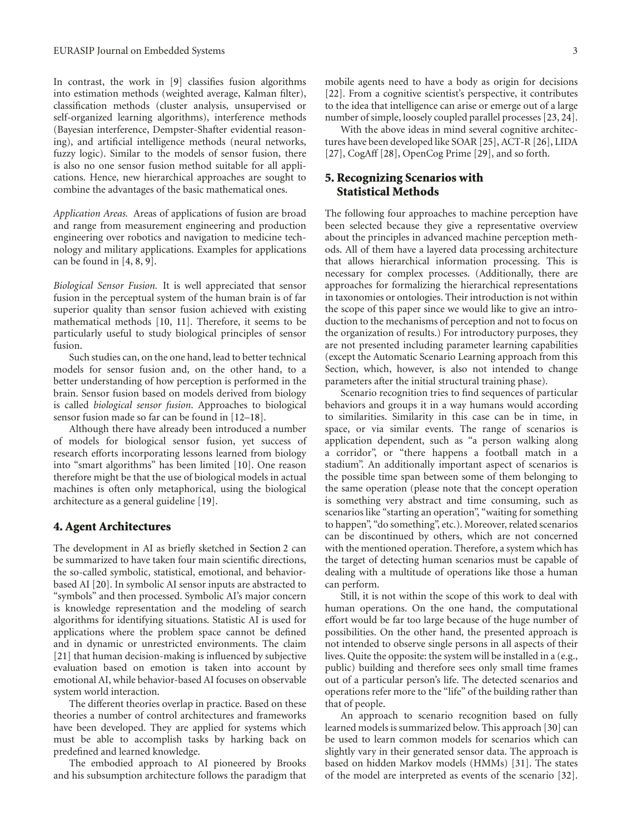In contrast, the work in [9] classifies fusion algorithms into estimation methods (weighted average, Kalman filter), classification methods (cluster analysis, unsupervised or self-organized learning algorithms), interference methods (Bayesian interference, Dempster-Shafter evidential reasoning), and artificial intelligence methods (neural networks, fuzzy logic). Similar to the models of sensor fusion, there is also no one sensor fusion method suitable for all applications. Hence, new hierarchical approaches are sought to combine the advantages of the basic mathematical ones.

*Application Areas.* Areas of applications of fusion are broad and range from measurement engineering and production engineering over robotics and navigation to medicine technology and military applications. Examples for applications can be found in [4, 8, 9].

*Biological Sensor Fusion.* It is well appreciated that sensor fusion in the perceptual system of the human brain is of far superior quality than sensor fusion achieved with existing mathematical methods [10, 11]. Therefore, it seems to be particularly useful to study biological principles of sensor fusion.

Such studies can, on the one hand, lead to better technical models for sensor fusion and, on the other hand, to a better understanding of how perception is performed in the brain. Sensor fusion based on models derived from biology is called *biological sensor fusion*. Approaches to biological sensor fusion made so far can be found in [12–18].

Although there have already been introduced a number of models for biological sensor fusion, yet success of research efforts incorporating lessons learned from biology into "smart algorithms" has been limited [10]. One reason therefore might be that the use of biological models in actual machines is often only metaphorical, using the biological architecture as a general guideline [19].

#### **4. Agent Architectures**

The development in AI as briefly sketched in Section 2 can be summarized to have taken four main scientific directions, the so-called symbolic, statistical, emotional, and behaviorbased AI [20]. In symbolic AI sensor inputs are abstracted to "symbols" and then processed. Symbolic AI's major concern is knowledge representation and the modeling of search algorithms for identifying situations. Statistic AI is used for applications where the problem space cannot be defined and in dynamic or unrestricted environments. The claim [21] that human decision-making is influenced by subjective evaluation based on emotion is taken into account by emotional AI, while behavior-based AI focuses on observable system world interaction.

The different theories overlap in practice. Based on these theories a number of control architectures and frameworks have been developed. They are applied for systems which must be able to accomplish tasks by harking back on predefined and learned knowledge.

The embodied approach to AI pioneered by Brooks and his subsumption architecture follows the paradigm that

mobile agents need to have a body as origin for decisions [22]. From a cognitive scientist's perspective, it contributes to the idea that intelligence can arise or emerge out of a large number of simple, loosely coupled parallel processes [23, 24].

With the above ideas in mind several cognitive architectures have been developed like SOAR [25], ACT-R [26], LIDA [27], CogAff [28], OpenCog Prime [29], and so forth.

## **5. Recognizing Scenarios with Statistical Methods**

The following four approaches to machine perception have been selected because they give a representative overview about the principles in advanced machine perception methods. All of them have a layered data processing architecture that allows hierarchical information processing. This is necessary for complex processes. (Additionally, there are approaches for formalizing the hierarchical representations in taxonomies or ontologies. Their introduction is not within the scope of this paper since we would like to give an introduction to the mechanisms of perception and not to focus on the organization of results.) For introductory purposes, they are not presented including parameter learning capabilities (except the Automatic Scenario Learning approach from this Section, which, however, is also not intended to change parameters after the initial structural training phase).

Scenario recognition tries to find sequences of particular behaviors and groups it in a way humans would according to similarities. Similarity in this case can be in time, in space, or via similar events. The range of scenarios is application dependent, such as "a person walking along a corridor", or "there happens a football match in a stadium". An additionally important aspect of scenarios is the possible time span between some of them belonging to the same operation (please note that the concept operation is something very abstract and time consuming, such as scenarios like "starting an operation", "waiting for something to happen", "do something", etc.). Moreover, related scenarios can be discontinued by others, which are not concerned with the mentioned operation. Therefore, a system which has the target of detecting human scenarios must be capable of dealing with a multitude of operations like those a human can perform.

Still, it is not within the scope of this work to deal with human operations. On the one hand, the computational effort would be far too large because of the huge number of possibilities. On the other hand, the presented approach is not intended to observe single persons in all aspects of their lives. Quite the opposite: the system will be installed in a (e.g., public) building and therefore sees only small time frames out of a particular person's life. The detected scenarios and operations refer more to the "life" of the building rather than that of people.

An approach to scenario recognition based on fully learned models is summarized below. This approach [30] can be used to learn common models for scenarios which can slightly vary in their generated sensor data. The approach is based on hidden Markov models (HMMs) [31]. The states of the model are interpreted as events of the scenario [32].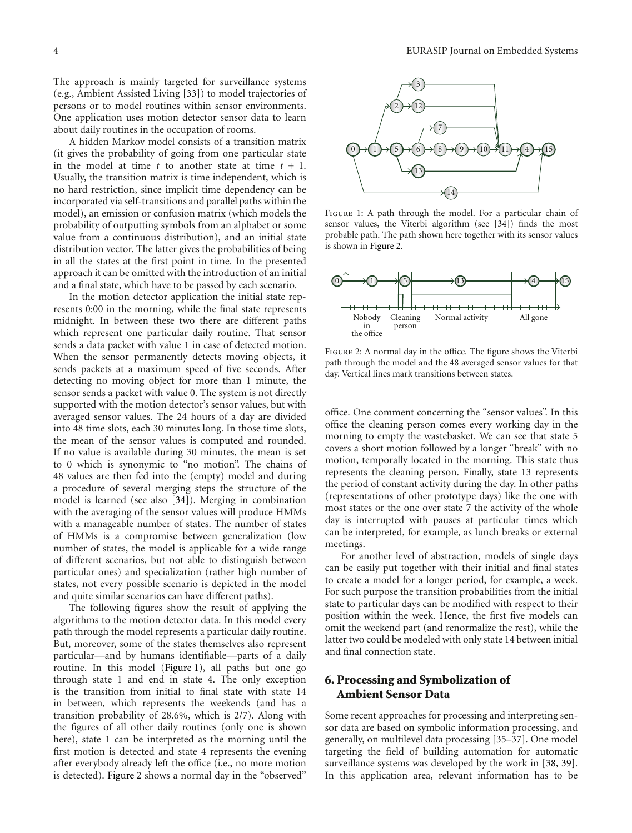The approach is mainly targeted for surveillance systems (e.g., Ambient Assisted Living [33]) to model trajectories of persons or to model routines within sensor environments. One application uses motion detector sensor data to learn about daily routines in the occupation of rooms.

A hidden Markov model consists of a transition matrix (it gives the probability of going from one particular state in the model at time  $t$  to another state at time  $t + 1$ . Usually, the transition matrix is time independent, which is no hard restriction, since implicit time dependency can be incorporated via self-transitions and parallel paths within the model), an emission or confusion matrix (which models the probability of outputting symbols from an alphabet or some value from a continuous distribution), and an initial state distribution vector. The latter gives the probabilities of being in all the states at the first point in time. In the presented approach it can be omitted with the introduction of an initial and a final state, which have to be passed by each scenario.

In the motion detector application the initial state represents 0:00 in the morning, while the final state represents midnight. In between these two there are different paths which represent one particular daily routine. That sensor sends a data packet with value 1 in case of detected motion. When the sensor permanently detects moving objects, it sends packets at a maximum speed of five seconds. After detecting no moving object for more than 1 minute, the sensor sends a packet with value 0. The system is not directly supported with the motion detector's sensor values, but with averaged sensor values. The 24 hours of a day are divided into 48 time slots, each 30 minutes long. In those time slots, the mean of the sensor values is computed and rounded. If no value is available during 30 minutes, the mean is set to 0 which is synonymic to "no motion". The chains of 48 values are then fed into the (empty) model and during a procedure of several merging steps the structure of the model is learned (see also [34]). Merging in combination with the averaging of the sensor values will produce HMMs with a manageable number of states. The number of states of HMMs is a compromise between generalization (low number of states, the model is applicable for a wide range of different scenarios, but not able to distinguish between particular ones) and specialization (rather high number of states, not every possible scenario is depicted in the model and quite similar scenarios can have different paths).

The following figures show the result of applying the algorithms to the motion detector data. In this model every path through the model represents a particular daily routine. But, moreover, some of the states themselves also represent particular—and by humans identifiable—parts of a daily routine. In this model (Figure 1), all paths but one go through state 1 and end in state 4. The only exception is the transition from initial to final state with state 14 in between, which represents the weekends (and has a transition probability of 28.6%, which is 2/7). Along with the figures of all other daily routines (only one is shown here), state 1 can be interpreted as the morning until the first motion is detected and state 4 represents the evening after everybody already left the office (i.e., no more motion is detected). Figure 2 shows a normal day in the "observed"



FIGURE 1: A path through the model. For a particular chain of sensor values, the Viterbi algorithm (see [34]) finds the most probable path. The path shown here together with its sensor values is shown in Figure 2.



Figure 2: A normal day in the office. The figure shows the Viterbi path through the model and the 48 averaged sensor values for that day. Vertical lines mark transitions between states.

office. One comment concerning the "sensor values". In this office the cleaning person comes every working day in the morning to empty the wastebasket. We can see that state 5 covers a short motion followed by a longer "break" with no motion, temporally located in the morning. This state thus represents the cleaning person. Finally, state 13 represents the period of constant activity during the day. In other paths (representations of other prototype days) like the one with most states or the one over state 7 the activity of the whole day is interrupted with pauses at particular times which can be interpreted, for example, as lunch breaks or external meetings.

For another level of abstraction, models of single days can be easily put together with their initial and final states to create a model for a longer period, for example, a week. For such purpose the transition probabilities from the initial state to particular days can be modified with respect to their position within the week. Hence, the first five models can omit the weekend part (and renormalize the rest), while the latter two could be modeled with only state 14 between initial and final connection state.

# **6. Processing and Symbolization of Ambient Sensor Data**

Some recent approaches for processing and interpreting sensor data are based on symbolic information processing, and generally, on multilevel data processing [35–37]. One model targeting the field of building automation for automatic surveillance systems was developed by the work in [38, 39]. In this application area, relevant information has to be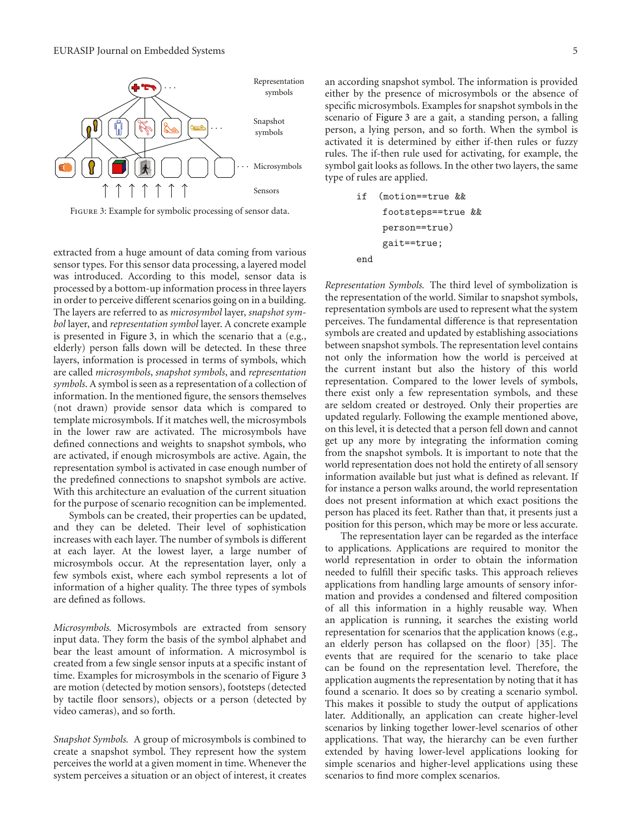

Figure 3: Example for symbolic processing of sensor data.

extracted from a huge amount of data coming from various sensor types. For this sensor data processing, a layered model was introduced. According to this model, sensor data is processed by a bottom-up information process in three layers in order to perceive different scenarios going on in a building. The layers are referred to as *microsymbol* layer, *snapshot symbol* layer, and *representation symbol* layer. A concrete example is presented in Figure 3, in which the scenario that a (e.g., elderly) person falls down will be detected. In these three layers, information is processed in terms of symbols, which are called *microsymbols*, *snapshot symbols*, and *representation symbols*. A symbol is seen as a representation of a collection of information. In the mentioned figure, the sensors themselves (not drawn) provide sensor data which is compared to template microsymbols. If it matches well, the microsymbols in the lower raw are activated. The microsymbols have defined connections and weights to snapshot symbols, who are activated, if enough microsymbols are active. Again, the representation symbol is activated in case enough number of the predefined connections to snapshot symbols are active. With this architecture an evaluation of the current situation for the purpose of scenario recognition can be implemented.

Symbols can be created, their properties can be updated, and they can be deleted. Their level of sophistication increases with each layer. The number of symbols is different at each layer. At the lowest layer, a large number of microsymbols occur. At the representation layer, only a few symbols exist, where each symbol represents a lot of information of a higher quality. The three types of symbols are defined as follows.

*Microsymbols.* Microsymbols are extracted from sensory input data. They form the basis of the symbol alphabet and bear the least amount of information. A microsymbol is created from a few single sensor inputs at a specific instant of time. Examples for microsymbols in the scenario of Figure 3 are motion (detected by motion sensors), footsteps (detected by tactile floor sensors), objects or a person (detected by video cameras), and so forth.

*Snapshot Symbols.* A group of microsymbols is combined to create a snapshot symbol. They represent how the system perceives the world at a given moment in time. Whenever the system perceives a situation or an object of interest, it creates

an according snapshot symbol. The information is provided either by the presence of microsymbols or the absence of specific microsymbols. Examples for snapshot symbols in the scenario of Figure 3 are a gait, a standing person, a falling person, a lying person, and so forth. When the symbol is activated it is determined by either if-then rules or fuzzy rules. The if-then rule used for activating, for example, the symbol gait looks as follows. In the other two layers, the same type of rules are applied.

> if (motion==true && footsteps==true && person==true) gait==true; end

*Representation Symbols.* The third level of symbolization is the representation of the world. Similar to snapshot symbols, representation symbols are used to represent what the system perceives. The fundamental difference is that representation symbols are created and updated by establishing associations between snapshot symbols. The representation level contains not only the information how the world is perceived at the current instant but also the history of this world representation. Compared to the lower levels of symbols, there exist only a few representation symbols, and these are seldom created or destroyed. Only their properties are updated regularly. Following the example mentioned above, on this level, it is detected that a person fell down and cannot get up any more by integrating the information coming from the snapshot symbols. It is important to note that the world representation does not hold the entirety of all sensory information available but just what is defined as relevant. If for instance a person walks around, the world representation does not present information at which exact positions the person has placed its feet. Rather than that, it presents just a position for this person, which may be more or less accurate.

The representation layer can be regarded as the interface to applications. Applications are required to monitor the world representation in order to obtain the information needed to fulfill their specific tasks. This approach relieves applications from handling large amounts of sensory information and provides a condensed and filtered composition of all this information in a highly reusable way. When an application is running, it searches the existing world representation for scenarios that the application knows (e.g., an elderly person has collapsed on the floor) [35]. The events that are required for the scenario to take place can be found on the representation level. Therefore, the application augments the representation by noting that it has found a scenario. It does so by creating a scenario symbol. This makes it possible to study the output of applications later. Additionally, an application can create higher-level scenarios by linking together lower-level scenarios of other applications. That way, the hierarchy can be even further extended by having lower-level applications looking for simple scenarios and higher-level applications using these scenarios to find more complex scenarios.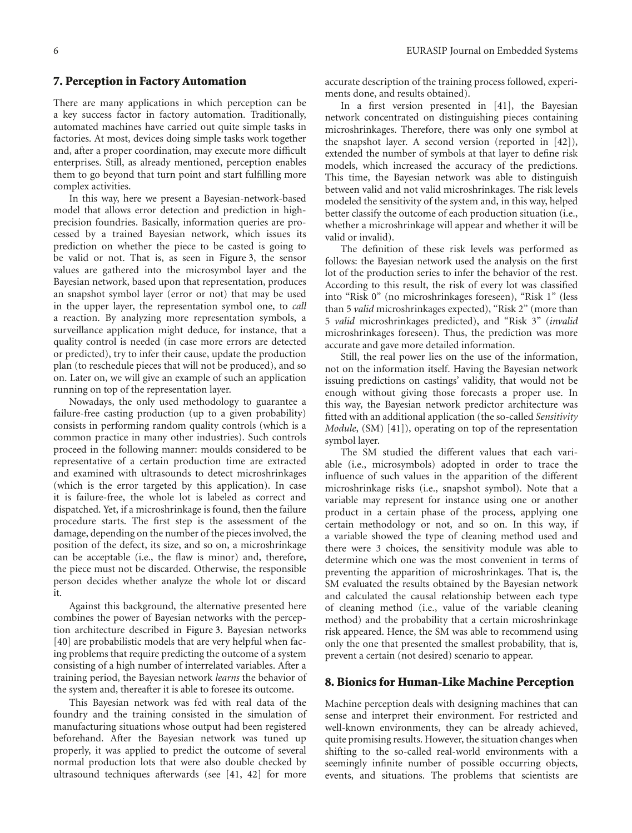## **7. Perception in Factory Automation**

There are many applications in which perception can be a key success factor in factory automation. Traditionally, automated machines have carried out quite simple tasks in factories. At most, devices doing simple tasks work together and, after a proper coordination, may execute more difficult enterprises. Still, as already mentioned, perception enables them to go beyond that turn point and start fulfilling more complex activities.

In this way, here we present a Bayesian-network-based model that allows error detection and prediction in highprecision foundries. Basically, information queries are processed by a trained Bayesian network, which issues its prediction on whether the piece to be casted is going to be valid or not. That is, as seen in Figure 3, the sensor values are gathered into the microsymbol layer and the Bayesian network, based upon that representation, produces an snapshot symbol layer (error or not) that may be used in the upper layer, the representation symbol one, to *call* a reaction. By analyzing more representation symbols, a surveillance application might deduce, for instance, that a quality control is needed (in case more errors are detected or predicted), try to infer their cause, update the production plan (to reschedule pieces that will not be produced), and so on. Later on, we will give an example of such an application running on top of the representation layer.

Nowadays, the only used methodology to guarantee a failure-free casting production (up to a given probability) consists in performing random quality controls (which is a common practice in many other industries). Such controls proceed in the following manner: moulds considered to be representative of a certain production time are extracted and examined with ultrasounds to detect microshrinkages (which is the error targeted by this application). In case it is failure-free, the whole lot is labeled as correct and dispatched. Yet, if a microshrinkage is found, then the failure procedure starts. The first step is the assessment of the damage, depending on the number of the pieces involved, the position of the defect, its size, and so on, a microshrinkage can be acceptable (i.e., the flaw is minor) and, therefore, the piece must not be discarded. Otherwise, the responsible person decides whether analyze the whole lot or discard it.

Against this background, the alternative presented here combines the power of Bayesian networks with the perception architecture described in Figure 3. Bayesian networks [40] are probabilistic models that are very helpful when facing problems that require predicting the outcome of a system consisting of a high number of interrelated variables. After a training period, the Bayesian network *learns* the behavior of the system and, thereafter it is able to foresee its outcome.

This Bayesian network was fed with real data of the foundry and the training consisted in the simulation of manufacturing situations whose output had been registered beforehand. After the Bayesian network was tuned up properly, it was applied to predict the outcome of several normal production lots that were also double checked by ultrasound techniques afterwards (see [41, 42] for more

accurate description of the training process followed, experiments done, and results obtained).

In a first version presented in [41], the Bayesian network concentrated on distinguishing pieces containing microshrinkages. Therefore, there was only one symbol at the snapshot layer. A second version (reported in [42]), extended the number of symbols at that layer to define risk models, which increased the accuracy of the predictions. This time, the Bayesian network was able to distinguish between valid and not valid microshrinkages. The risk levels modeled the sensitivity of the system and, in this way, helped better classify the outcome of each production situation (i.e., whether a microshrinkage will appear and whether it will be valid or invalid).

The definition of these risk levels was performed as follows: the Bayesian network used the analysis on the first lot of the production series to infer the behavior of the rest. According to this result, the risk of every lot was classified into "Risk 0" (no microshrinkages foreseen), "Risk 1" (less than 5 *valid* microshrinkages expected), "Risk 2" (more than 5 *valid* microshrinkages predicted), and "Risk 3" (*invalid* microshrinkages foreseen). Thus, the prediction was more accurate and gave more detailed information.

Still, the real power lies on the use of the information, not on the information itself. Having the Bayesian network issuing predictions on castings' validity, that would not be enough without giving those forecasts a proper use. In this way, the Bayesian network predictor architecture was fitted with an additional application (the so-called *Sensitivity Module*, (SM) [41]), operating on top of the representation symbol layer.

The SM studied the different values that each variable (i.e., microsymbols) adopted in order to trace the influence of such values in the apparition of the different microshrinkage risks (i.e., snapshot symbol). Note that a variable may represent for instance using one or another product in a certain phase of the process, applying one certain methodology or not, and so on. In this way, if a variable showed the type of cleaning method used and there were 3 choices, the sensitivity module was able to determine which one was the most convenient in terms of preventing the apparition of microshrinkages. That is, the SM evaluated the results obtained by the Bayesian network and calculated the causal relationship between each type of cleaning method (i.e., value of the variable cleaning method) and the probability that a certain microshrinkage risk appeared. Hence, the SM was able to recommend using only the one that presented the smallest probability, that is, prevent a certain (not desired) scenario to appear.

#### **8. Bionics for Human-Like Machine Perception**

Machine perception deals with designing machines that can sense and interpret their environment. For restricted and well-known environments, they can be already achieved, quite promising results. However, the situation changes when shifting to the so-called real-world environments with a seemingly infinite number of possible occurring objects, events, and situations. The problems that scientists are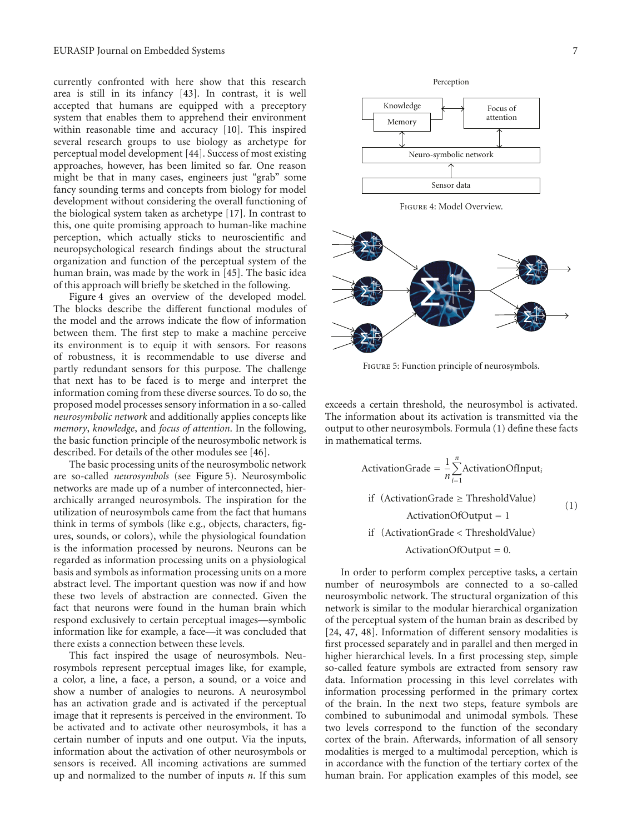currently confronted with here show that this research area is still in its infancy [43]. In contrast, it is well accepted that humans are equipped with a preceptory system that enables them to apprehend their environment within reasonable time and accuracy [10]. This inspired several research groups to use biology as archetype for perceptual model development [44]. Success of most existing approaches, however, has been limited so far. One reason might be that in many cases, engineers just "grab" some fancy sounding terms and concepts from biology for model development without considering the overall functioning of the biological system taken as archetype [17]. In contrast to this, one quite promising approach to human-like machine perception, which actually sticks to neuroscientific and neuropsychological research findings about the structural organization and function of the perceptual system of the human brain, was made by the work in [45]. The basic idea of this approach will briefly be sketched in the following.

Figure 4 gives an overview of the developed model. The blocks describe the different functional modules of the model and the arrows indicate the flow of information between them. The first step to make a machine perceive its environment is to equip it with sensors. For reasons of robustness, it is recommendable to use diverse and partly redundant sensors for this purpose. The challenge that next has to be faced is to merge and interpret the information coming from these diverse sources. To do so, the proposed model processes sensory information in a so-called *neurosymbolic network* and additionally applies concepts like *memory*, *knowledge*, and *focus of attention*. In the following, the basic function principle of the neurosymbolic network is described. For details of the other modules see [46].

The basic processing units of the neurosymbolic network are so-called *neurosymbols* (see Figure 5). Neurosymbolic networks are made up of a number of interconnected, hierarchically arranged neurosymbols. The inspiration for the utilization of neurosymbols came from the fact that humans think in terms of symbols (like e.g., objects, characters, figures, sounds, or colors), while the physiological foundation is the information processed by neurons. Neurons can be regarded as information processing units on a physiological basis and symbols as information processing units on a more abstract level. The important question was now if and how these two levels of abstraction are connected. Given the fact that neurons were found in the human brain which respond exclusively to certain perceptual images—symbolic information like for example, a face—it was concluded that there exists a connection between these levels.

This fact inspired the usage of neurosymbols. Neurosymbols represent perceptual images like, for example, a color, a line, a face, a person, a sound, or a voice and show a number of analogies to neurons. A neurosymbol has an activation grade and is activated if the perceptual image that it represents is perceived in the environment. To be activated and to activate other neurosymbols, it has a certain number of inputs and one output. Via the inputs, information about the activation of other neurosymbols or sensors is received. All incoming activations are summed up and normalized to the number of inputs *n*. If this sum



Figure 4: Model Overview.



Figure 5: Function principle of neurosymbols.

exceeds a certain threshold, the neurosymbol is activated. The information about its activation is transmitted via the output to other neurosymbols. Formula (1) define these facts in mathematical terms.

ActivationGrade = 
$$
\frac{1}{n} \sum_{i=1}^{n} \text{ActivationOfInput}_{i}
$$

\nif (ActivationGrade  $\geq$  ThresholdValue)

\nActivationOfOutput = 1

\nif (ActivationGrade  $\leq$  ThresholdValue)

\nActivationOfOutput = 0.

In order to perform complex perceptive tasks, a certain number of neurosymbols are connected to a so-called neurosymbolic network. The structural organization of this network is similar to the modular hierarchical organization of the perceptual system of the human brain as described by [24, 47, 48]. Information of different sensory modalities is first processed separately and in parallel and then merged in higher hierarchical levels. In a first processing step, simple so-called feature symbols are extracted from sensory raw data. Information processing in this level correlates with information processing performed in the primary cortex of the brain. In the next two steps, feature symbols are combined to subunimodal and unimodal symbols. These two levels correspond to the function of the secondary cortex of the brain. Afterwards, information of all sensory modalities is merged to a multimodal perception, which is in accordance with the function of the tertiary cortex of the human brain. For application examples of this model, see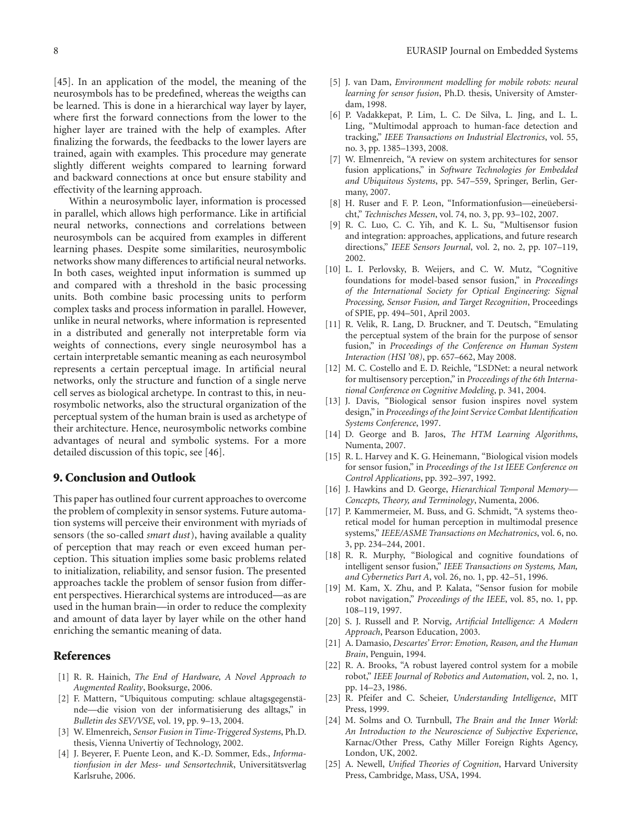[45]. In an application of the model, the meaning of the neurosymbols has to be predefined, whereas the weigths can be learned. This is done in a hierarchical way layer by layer, where first the forward connections from the lower to the higher layer are trained with the help of examples. After finalizing the forwards, the feedbacks to the lower layers are trained, again with examples. This procedure may generate slightly different weights compared to learning forward and backward connections at once but ensure stability and effectivity of the learning approach.

Within a neurosymbolic layer, information is processed in parallel, which allows high performance. Like in artificial neural networks, connections and correlations between neurosymbols can be acquired from examples in different learning phases. Despite some similarities, neurosymbolic networks show many differences to artificial neural networks. In both cases, weighted input information is summed up and compared with a threshold in the basic processing units. Both combine basic processing units to perform complex tasks and process information in parallel. However, unlike in neural networks, where information is represented in a distributed and generally not interpretable form via weights of connections, every single neurosymbol has a certain interpretable semantic meaning as each neurosymbol represents a certain perceptual image. In artificial neural networks, only the structure and function of a single nerve cell serves as biological archetype. In contrast to this, in neurosymbolic networks, also the structural organization of the perceptual system of the human brain is used as archetype of their architecture. Hence, neurosymbolic networks combine advantages of neural and symbolic systems. For a more detailed discussion of this topic, see [46].

#### **9. Conclusion and Outlook**

This paper has outlined four current approaches to overcome the problem of complexity in sensor systems. Future automation systems will perceive their environment with myriads of sensors (the so-called *smart dust*), having available a quality of perception that may reach or even exceed human perception. This situation implies some basic problems related to initialization, reliability, and sensor fusion. The presented approaches tackle the problem of sensor fusion from different perspectives. Hierarchical systems are introduced—as are used in the human brain—in order to reduce the complexity and amount of data layer by layer while on the other hand enriching the semantic meaning of data.

## **References**

- [1] R. R. Hainich, *The End of Hardware, A Novel Approach to Augmented Reality*, Booksurge, 2006.
- [2] F. Mattern, "Ubiquitous computing: schlaue altagsgegenstände—die vision von der informatisierung des alltags," in *Bulletin des SEV/VSE*, vol. 19, pp. 9–13, 2004.
- [3] W. Elmenreich, *Sensor Fusion in Time-Triggered Systems*, Ph.D. thesis, Vienna Univertiy of Technology, 2002.
- [4] J. Beyerer, F. Puente Leon, and K.-D. Sommer, Eds., *Informationfusion in der Mess- und Sensortechnik*, Universitatsverlag ¨ Karlsruhe, 2006.
- [5] J. van Dam, *Environment modelling for mobile robots: neural learning for sensor fusion*, Ph.D. thesis, University of Amsterdam, 1998.
- [6] P. Vadakkepat, P. Lim, L. C. De Silva, L. Jing, and L. L. Ling, "Multimodal approach to human-face detection and tracking," *IEEE Transactions on Industrial Electronics*, vol. 55, no. 3, pp. 1385–1393, 2008.
- [7] W. Elmenreich, "A review on system architectures for sensor fusion applications," in *Software Technologies for Embedded and Ubiquitous Systems*, pp. 547–559, Springer, Berlin, Germany, 2007.
- [8] H. Ruser and F. P. Leon, "Informationfusion—eineüebersicht," *Technisches Messen*, vol. 74, no. 3, pp. 93–102, 2007.
- [9] R. C. Luo, C. C. Yih, and K. L. Su, "Multisensor fusion and integration: approaches, applications, and future research directions," *IEEE Sensors Journal*, vol. 2, no. 2, pp. 107–119, 2002.
- [10] L. I. Perlovsky, B. Weijers, and C. W. Mutz, "Cognitive foundations for model-based sensor fusion," in *Proceedings of the International Society for Optical Engineering: Signal Processing, Sensor Fusion, and Target Recognition*, Proceedings of SPIE, pp. 494–501, April 2003.
- [11] R. Velik, R. Lang, D. Bruckner, and T. Deutsch, "Emulating the perceptual system of the brain for the purpose of sensor fusion," in *Proceedings of the Conference on Human System Interaction (HSI '08)*, pp. 657–662, May 2008.
- [12] M. C. Costello and E. D. Reichle, "LSDNet: a neural network for multisensory perception," in *Proceedings of the 6th International Conference on Cognitive Modeling*, p. 341, 2004.
- [13] J. Davis, "Biological sensor fusion inspires novel system design," in *Proceedings of the Joint Service Combat Identification Systems Conference*, 1997.
- [14] D. George and B. Jaros, *The HTM Learning Algorithms*, Numenta, 2007.
- [15] R. L. Harvey and K. G. Heinemann, "Biological vision models for sensor fusion," in *Proceedings of the 1st IEEE Conference on Control Applications*, pp. 392–397, 1992.
- [16] J. Hawkins and D. George, *Hierarchical Temporal Memory— Concepts, Theory, and Terminology*, Numenta, 2006.
- [17] P. Kammermeier, M. Buss, and G. Schmidt, "A systems theoretical model for human perception in multimodal presence systems," *IEEE/ASME Transactions on Mechatronics*, vol. 6, no. 3, pp. 234–244, 2001.
- [18] R. R. Murphy, "Biological and cognitive foundations of intelligent sensor fusion," *IEEE Transactions on Systems, Man, and Cybernetics Part A*, vol. 26, no. 1, pp. 42–51, 1996.
- [19] M. Kam, X. Zhu, and P. Kalata, "Sensor fusion for mobile robot navigation," *Proceedings of the IEEE*, vol. 85, no. 1, pp. 108–119, 1997.
- [20] S. J. Russell and P. Norvig, *Artificial Intelligence: A Modern Approach*, Pearson Education, 2003.
- [21] A. Damasio, *Descartes' Error: Emotion, Reason, and the Human Brain*, Penguin, 1994.
- [22] R. A. Brooks, "A robust layered control system for a mobile robot," *IEEE Journal of Robotics and Automation*, vol. 2, no. 1, pp. 14–23, 1986.
- [23] R. Pfeifer and C. Scheier, *Understanding Intelligence*, MIT Press, 1999.
- [24] M. Solms and O. Turnbull, *The Brain and the Inner World: An Introduction to the Neuroscience of Subjective Experience*, Karnac/Other Press, Cathy Miller Foreign Rights Agency, London, UK, 2002.
- [25] A. Newell, *Unified Theories of Cognition*, Harvard University Press, Cambridge, Mass, USA, 1994.